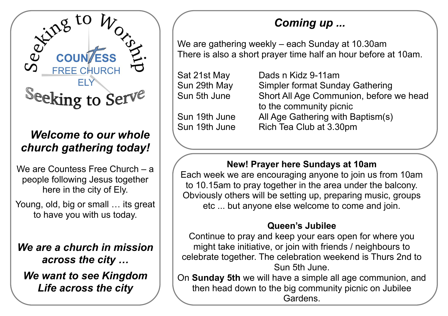

## *Welcome to our whole church gathering today!*

We are Countess Free Church – a people following Jesus together here in the city of Ely.

Young, old, big or small ... its great to have you with us today.

*We are a church in mission across the city … We want to see Kingdom Life across the city*

# *Coming up ...*

We are gathering weekly – each Sunday at 10.30am There is also a short prayer time half an hour before at 10am.

| Sat 21st May  | Dads n Kidz 9-11am                      |
|---------------|-----------------------------------------|
| Sun 29th May  | Simpler format Sunday Gathering         |
| Sun 5th June  | Short All Age Communion, before we head |
|               | to the community picnic                 |
| Sun 19th June | All Age Gathering with Baptism(s)       |
| Sun 19th June | Rich Tea Club at 3.30pm                 |
|               |                                         |

### **New! Prayer here Sundays at 10am**

Each week we are encouraging anyone to join us from 10am to 10.15am to pray together in the area under the balcony. Obviously others will be setting up, preparing music, groups etc ... but anyone else welcome to come and join.

#### **Queen's Jubilee**

Continue to pray and keep your ears open for where you might take initiative, or join with friends / neighbours to celebrate together. The celebration weekend is Thurs 2nd to Sun 5th June.

On **Sunday 5th** we will have a simple all age communion, and then head down to the big community picnic on Jubilee Gardens.